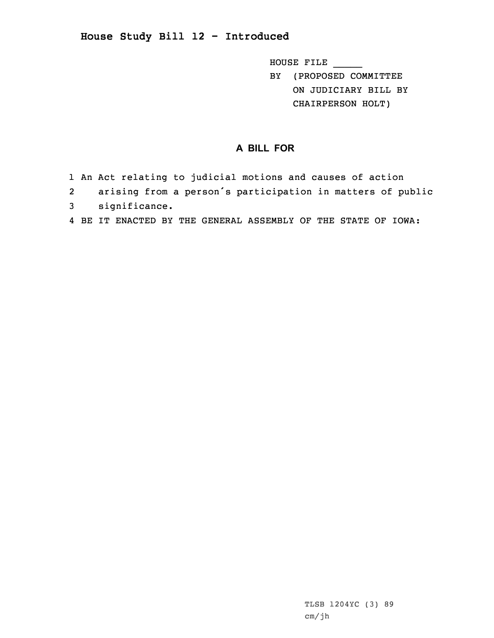## **House Study Bill 12 - Introduced**

HOUSE FILE \_\_\_\_\_ BY (PROPOSED COMMITTEE

ON JUDICIARY BILL BY CHAIRPERSON HOLT)

## **A BILL FOR**

- 1 An Act relating to judicial motions and causes of action
- 2 arising from <sup>a</sup> person's participation in matters of public 3 significance.
- 4 BE IT ENACTED BY THE GENERAL ASSEMBLY OF THE STATE OF IOWA: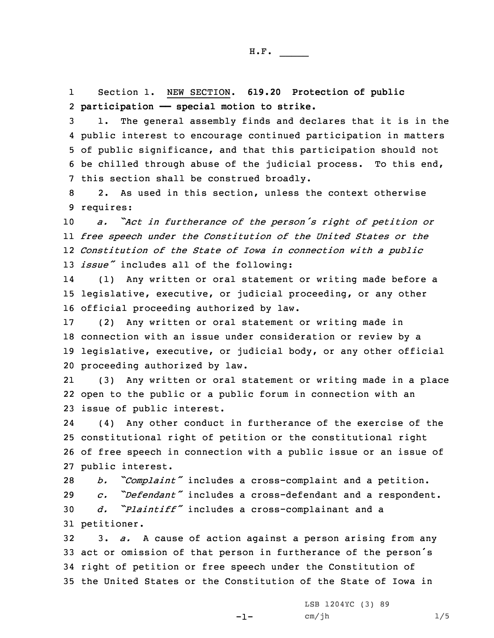1 Section 1. NEW SECTION. **619.20 Protection of public** 2 **participation —— special motion to strike.**

 1. The general assembly finds and declares that it is in the public interest to encourage continued participation in matters of public significance, and that this participation should not be chilled through abuse of the judicial process. To this end, this section shall be construed broadly.

8 2. As used in this section, unless the context otherwise 9 requires:

 *a. "Act in furtherance of the person's right of petition or free speech under the Constitution of the United States or the Constitution of the State of Iowa in connection with <sup>a</sup> public issue"* includes all of the following:

14 (1) Any written or oral statement or writing made before <sup>a</sup> 15 legislative, executive, or judicial proceeding, or any other 16 official proceeding authorized by law.

 (2) Any written or oral statement or writing made in connection with an issue under consideration or review by <sup>a</sup> legislative, executive, or judicial body, or any other official proceeding authorized by law.

21 (3) Any written or oral statement or writing made in <sup>a</sup> place 22 open to the public or <sup>a</sup> public forum in connection with an 23 issue of public interest.

24 (4) Any other conduct in furtherance of the exercise of the 25 constitutional right of petition or the constitutional right 26 of free speech in connection with <sup>a</sup> public issue or an issue of 27 public interest.

 *b. "Complaint"* includes <sup>a</sup> cross-complaint and <sup>a</sup> petition. *c. "Defendant"* includes <sup>a</sup> cross-defendant and <sup>a</sup> respondent. *d. "Plaintiff"* includes <sup>a</sup> cross-complainant and <sup>a</sup> petitioner.

 3. *a.* <sup>A</sup> cause of action against <sup>a</sup> person arising from any act or omission of that person in furtherance of the person's right of petition or free speech under the Constitution of the United States or the Constitution of the State of Iowa in

-1-

LSB 1204YC (3) 89  $cm/jh$  1/5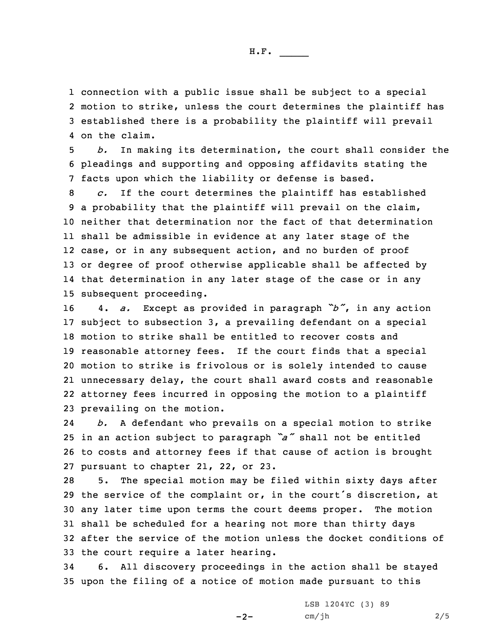H.F. \_\_\_\_\_

 connection with <sup>a</sup> public issue shall be subject to <sup>a</sup> special motion to strike, unless the court determines the plaintiff has established there is <sup>a</sup> probability the plaintiff will prevail on the claim.

5 *b.* In making its determination, the court shall consider the 6 pleadings and supporting and opposing affidavits stating the 7 facts upon which the liability or defense is based.

 *c.* If the court determines the plaintiff has established <sup>a</sup> probability that the plaintiff will prevail on the claim, neither that determination nor the fact of that determination shall be admissible in evidence at any later stage of the case, or in any subsequent action, and no burden of proof or degree of proof otherwise applicable shall be affected by that determination in any later stage of the case or in any subsequent proceeding.

 4. *a.* Except as provided in paragraph *"b"*, in any action subject to subsection 3, <sup>a</sup> prevailing defendant on <sup>a</sup> special motion to strike shall be entitled to recover costs and reasonable attorney fees. If the court finds that <sup>a</sup> special motion to strike is frivolous or is solely intended to cause unnecessary delay, the court shall award costs and reasonable attorney fees incurred in opposing the motion to <sup>a</sup> plaintiff prevailing on the motion.

24 *b.* <sup>A</sup> defendant who prevails on <sup>a</sup> special motion to strike <sup>25</sup> in an action subject to paragraph *"a"* shall not be entitled 26 to costs and attorney fees if that cause of action is brought 27 pursuant to chapter 21, 22, or 23.

 5. The special motion may be filed within sixty days after the service of the complaint or, in the court's discretion, at any later time upon terms the court deems proper. The motion shall be scheduled for <sup>a</sup> hearing not more than thirty days after the service of the motion unless the docket conditions of the court require <sup>a</sup> later hearing.

34 6. All discovery proceedings in the action shall be stayed 35 upon the filing of <sup>a</sup> notice of motion made pursuant to this

 $-2-$ 

LSB 1204YC (3) 89 cm/jh 2/5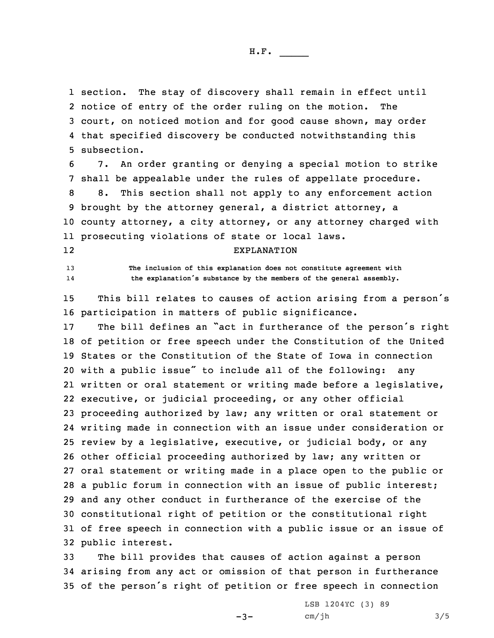section. The stay of discovery shall remain in effect until notice of entry of the order ruling on the motion. The court, on noticed motion and for good cause shown, may order that specified discovery be conducted notwithstanding this subsection.

 7. An order granting or denying <sup>a</sup> special motion to strike shall be appealable under the rules of appellate procedure. 8. This section shall not apply to any enforcement action brought by the attorney general, <sup>a</sup> district attorney, <sup>a</sup> county attorney, <sup>a</sup> city attorney, or any attorney charged with prosecuting violations of state or local laws.

## 12

14

13 **The inclusion of this explanation does not constitute agreement with the explanation's substance by the members of the general assembly.**

EXPLANATION

<sup>15</sup> This bill relates to causes of action arising from <sup>a</sup> person's 16 participation in matters of public significance.

 The bill defines an "act in furtherance of the person's right of petition or free speech under the Constitution of the United States or the Constitution of the State of Iowa in connection with <sup>a</sup> public issue" to include all of the following: any written or oral statement or writing made before <sup>a</sup> legislative, executive, or judicial proceeding, or any other official proceeding authorized by law; any written or oral statement or writing made in connection with an issue under consideration or review by <sup>a</sup> legislative, executive, or judicial body, or any other official proceeding authorized by law; any written or oral statement or writing made in <sup>a</sup> place open to the public or <sup>a</sup> public forum in connection with an issue of public interest; and any other conduct in furtherance of the exercise of the constitutional right of petition or the constitutional right of free speech in connection with <sup>a</sup> public issue or an issue of public interest.

33 The bill provides that causes of action against <sup>a</sup> person 34 arising from any act or omission of that person in furtherance <sup>35</sup> of the person's right of petition or free speech in connection

 $-3-$ 

LSB 1204YC (3) 89  $cm/jh$   $3/5$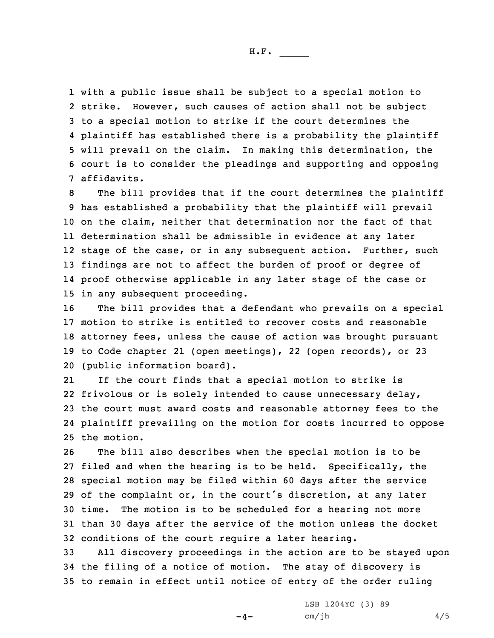with <sup>a</sup> public issue shall be subject to <sup>a</sup> special motion to strike. However, such causes of action shall not be subject to <sup>a</sup> special motion to strike if the court determines the plaintiff has established there is <sup>a</sup> probability the plaintiff will prevail on the claim. In making this determination, the court is to consider the pleadings and supporting and opposing affidavits.

 The bill provides that if the court determines the plaintiff has established <sup>a</sup> probability that the plaintiff will prevail on the claim, neither that determination nor the fact of that determination shall be admissible in evidence at any later 12 stage of the case, or in any subsequent action. Further, such findings are not to affect the burden of proof or degree of proof otherwise applicable in any later stage of the case or in any subsequent proceeding.

 The bill provides that <sup>a</sup> defendant who prevails on <sup>a</sup> special motion to strike is entitled to recover costs and reasonable attorney fees, unless the cause of action was brought pursuant to Code chapter 21 (open meetings), 22 (open records), or 23 (public information board).

21 If the court finds that <sup>a</sup> special motion to strike is frivolous or is solely intended to cause unnecessary delay, the court must award costs and reasonable attorney fees to the plaintiff prevailing on the motion for costs incurred to oppose the motion.

 The bill also describes when the special motion is to be filed and when the hearing is to be held. Specifically, the special motion may be filed within 60 days after the service of the complaint or, in the court's discretion, at any later time. The motion is to be scheduled for <sup>a</sup> hearing not more than 30 days after the service of the motion unless the docket conditions of the court require <sup>a</sup> later hearing.

33 All discovery proceedings in the action are to be stayed upon 34 the filing of <sup>a</sup> notice of motion. The stay of discovery is 35 to remain in effect until notice of entry of the order ruling

 $-4-$ 

LSB 1204YC (3) 89  $cm/jh$  4/5